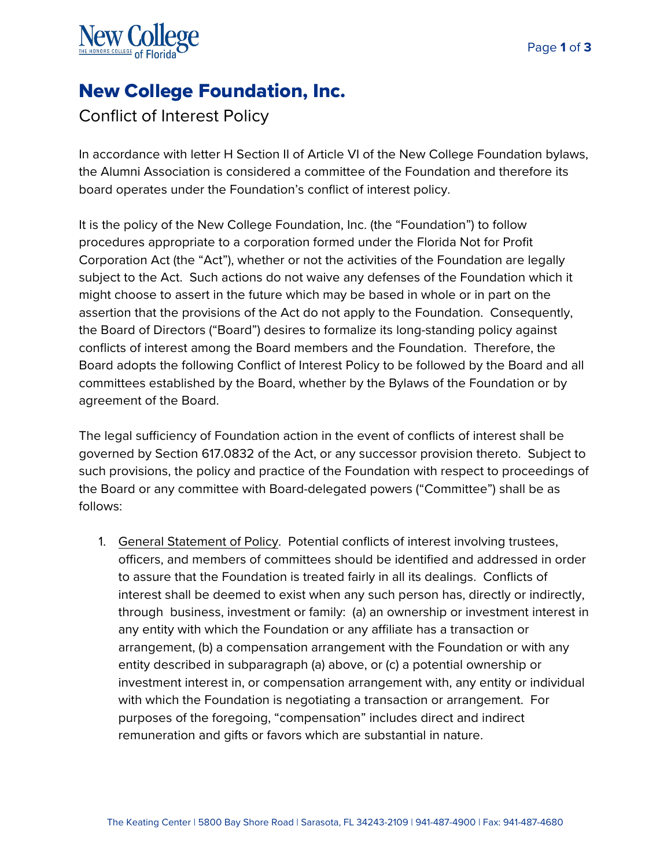

## New College Foundation, Inc.

## Conflict of Interest Policy

In accordance with letter H Section II of Article VI of the New College Foundation bylaws, the Alumni Association is considered a committee of the Foundation and therefore its board operates under the Foundation's conflict of interest policy.

It is the policy of the New College Foundation, Inc. (the "Foundation") to follow procedures appropriate to a corporation formed under the Florida Not for Profit Corporation Act (the "Act"), whether or not the activities of the Foundation are legally subject to the Act. Such actions do not waive any defenses of the Foundation which it might choose to assert in the future which may be based in whole or in part on the assertion that the provisions of the Act do not apply to the Foundation. Consequently, the Board of Directors ("Board") desires to formalize its long-standing policy against conflicts of interest among the Board members and the Foundation. Therefore, the Board adopts the following Conflict of Interest Policy to be followed by the Board and all committees established by the Board, whether by the Bylaws of the Foundation or by agreement of the Board.

The legal sufficiency of Foundation action in the event of conflicts of interest shall be governed by Section 617.0832 of the Act, or any successor provision thereto. Subject to such provisions, the policy and practice of the Foundation with respect to proceedings of the Board or any committee with Board-delegated powers ("Committee") shall be as follows:

1. General Statement of Policy. Potential conflicts of interest involving trustees, officers, and members of committees should be identified and addressed in order to assure that the Foundation is treated fairly in all its dealings. Conflicts of interest shall be deemed to exist when any such person has, directly or indirectly, through business, investment or family: (a) an ownership or investment interest in any entity with which the Foundation or any affiliate has a transaction or arrangement, (b) a compensation arrangement with the Foundation or with any entity described in subparagraph (a) above, or (c) a potential ownership or investment interest in, or compensation arrangement with, any entity or individual with which the Foundation is negotiating a transaction or arrangement. For purposes of the foregoing, "compensation" includes direct and indirect remuneration and gifts or favors which are substantial in nature.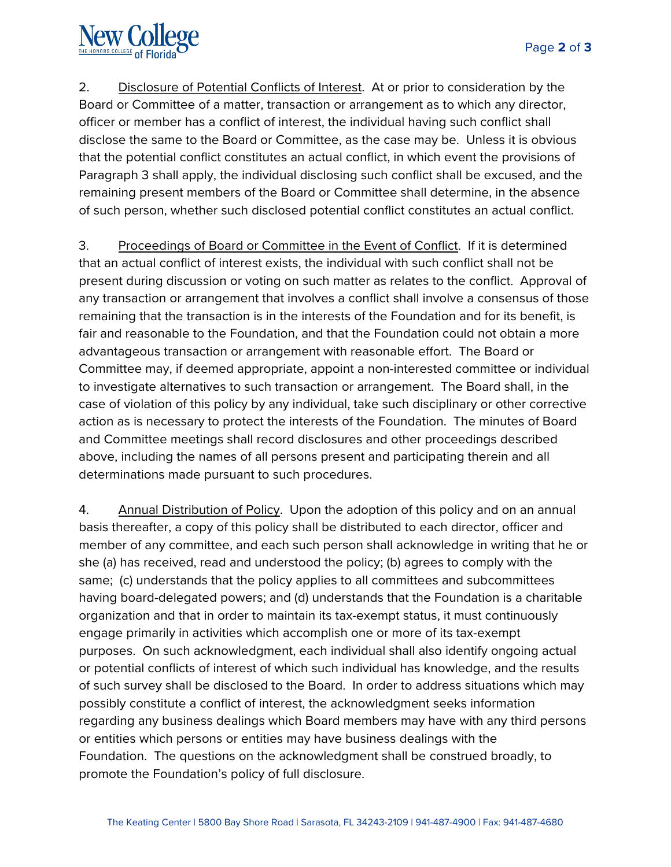

2. Disclosure of Potential Conflicts of Interest. At or prior to consideration by the Board or Committee of a matter, transaction or arrangement as to which any director, officer or member has a conflict of interest, the individual having such conflict shall disclose the same to the Board or Committee, as the case may be. Unless it is obvious that the potential conflict constitutes an actual conflict, in which event the provisions of Paragraph 3 shall apply, the individual disclosing such conflict shall be excused, and the remaining present members of the Board or Committee shall determine, in the absence of such person, whether such disclosed potential conflict constitutes an actual conflict.

3. Proceedings of Board or Committee in the Event of Conflict. If it is determined that an actual conflict of interest exists, the individual with such conflict shall not be present during discussion or voting on such matter as relates to the conflict. Approval of any transaction or arrangement that involves a conflict shall involve a consensus of those remaining that the transaction is in the interests of the Foundation and for its benefit, is fair and reasonable to the Foundation, and that the Foundation could not obtain a more advantageous transaction or arrangement with reasonable effort. The Board or Committee may, if deemed appropriate, appoint a non-interested committee or individual to investigate alternatives to such transaction or arrangement. The Board shall, in the case of violation of this policy by any individual, take such disciplinary or other corrective action as is necessary to protect the interests of the Foundation. The minutes of Board and Committee meetings shall record disclosures and other proceedings described above, including the names of all persons present and participating therein and all determinations made pursuant to such procedures.

4. Annual Distribution of Policy. Upon the adoption of this policy and on an annual basis thereafter, a copy of this policy shall be distributed to each director, officer and member of any committee, and each such person shall acknowledge in writing that he or she (a) has received, read and understood the policy; (b) agrees to comply with the same; (c) understands that the policy applies to all committees and subcommittees having board-delegated powers; and (d) understands that the Foundation is a charitable organization and that in order to maintain its tax-exempt status, it must continuously engage primarily in activities which accomplish one or more of its tax-exempt purposes. On such acknowledgment, each individual shall also identify ongoing actual or potential conflicts of interest of which such individual has knowledge, and the results of such survey shall be disclosed to the Board. In order to address situations which may possibly constitute a conflict of interest, the acknowledgment seeks information regarding any business dealings which Board members may have with any third persons or entities which persons or entities may have business dealings with the Foundation. The questions on the acknowledgment shall be construed broadly, to promote the Foundation's policy of full disclosure.